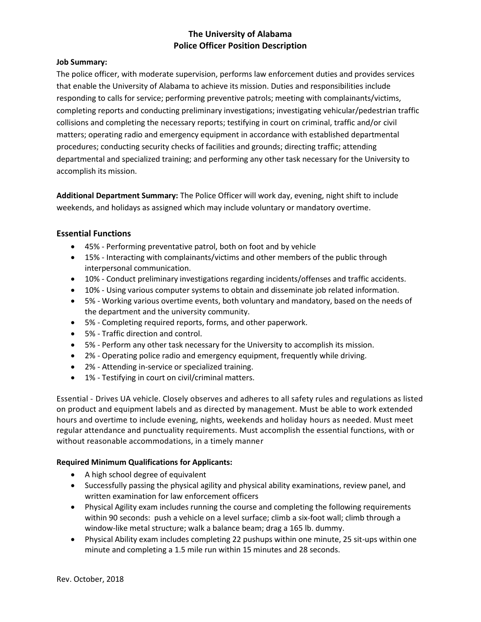# **The University of Alabama Police Officer Position Description**

## **Job Summary:**

The police officer, with moderate supervision, performs law enforcement duties and provides services that enable the University of Alabama to achieve its mission. Duties and responsibilities include responding to calls for service; performing preventive patrols; meeting with complainants/victims, completing reports and conducting preliminary investigations; investigating vehicular/pedestrian traffic collisions and completing the necessary reports; testifying in court on criminal, traffic and/or civil matters; operating radio and emergency equipment in accordance with established departmental procedures; conducting security checks of facilities and grounds; directing traffic; attending departmental and specialized training; and performing any other task necessary for the University to accomplish its mission.

**Additional Department Summary:** The Police Officer will work day, evening, night shift to include weekends, and holidays as assigned which may include voluntary or mandatory overtime.

## **Essential Functions**

- 45% Performing preventative patrol, both on foot and by vehicle
- 15% Interacting with complainants/victims and other members of the public through interpersonal communication.
- 10% Conduct preliminary investigations regarding incidents/offenses and traffic accidents.
- 10% Using various computer systems to obtain and disseminate job related information.
- 5% Working various overtime events, both voluntary and mandatory, based on the needs of the department and the university community.
- 5% Completing required reports, forms, and other paperwork.
- 5% Traffic direction and control.
- 5% Perform any other task necessary for the University to accomplish its mission.
- 2% Operating police radio and emergency equipment, frequently while driving.
- 2% Attending in-service or specialized training.
- 1% Testifying in court on civil/criminal matters.

Essential - Drives UA vehicle. Closely observes and adheres to all safety rules and regulations as listed on product and equipment labels and as directed by management. Must be able to work extended hours and overtime to include evening, nights, weekends and holiday hours as needed. Must meet regular attendance and punctuality requirements. Must accomplish the essential functions, with or without reasonable accommodations, in a timely manner

## **Required Minimum Qualifications for Applicants:**

- A high school degree of equivalent
- Successfully passing the physical agility and physical ability examinations, review panel, and written examination for law enforcement officers
- Physical Agility exam includes running the course and completing the following requirements within 90 seconds: push a vehicle on a level surface; climb a six-foot wall; climb through a window-like metal structure; walk a balance beam; drag a 165 lb. dummy.
- Physical Ability exam includes completing 22 pushups within one minute, 25 sit-ups within one minute and completing a 1.5 mile run within 15 minutes and 28 seconds.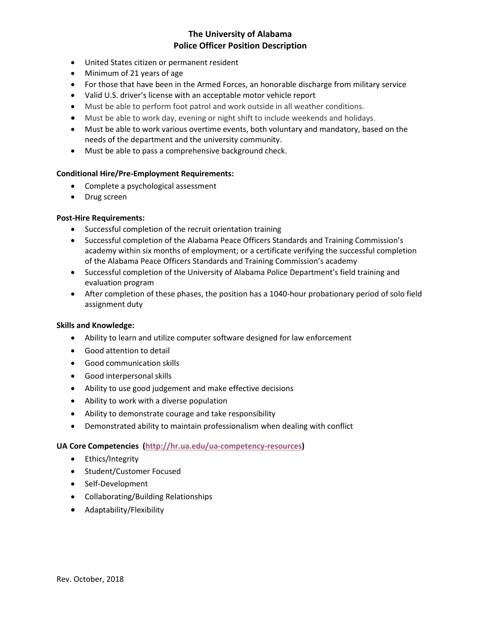## **The University of Alabama Police Officer Position Description**

- United States citizen or permanent resident
- Minimum of 21 years of age
- For those that have been in the Armed Forces, an honorable discharge from military service
- Valid U.S. driver's license with an acceptable motor vehicle report
- Must be able to perform foot patrol and work outside in all weather conditions.
- Must be able to work day, evening or night shift to include weekends and holidays.
- Must be able to work various overtime events, both voluntary and mandatory, based on the needs of the department and the university community.
- Must be able to pass a comprehensive background check.

### **Conditional Hire/Pre-Employment Requirements:**

- Complete a psychological assessment
- Drug screen

## **Post-Hire Requirements:**

- Successful completion of the recruit orientation training
- Successful completion of the Alabama Peace Officers Standards and Training Commission's academy within six months of employment; or a certificate verifying the successful completion of the Alabama Peace Officers Standards and Training Commission's academy
- Successful completion of the University of Alabama Police Department's field training and evaluation program
- After completion of these phases, the position has a 1040-hour probationary period of solo field assignment duty

#### **Skills and Knowledge:**

- Ability to learn and utilize computer software designed for law enforcement
- Good attention to detail
- Good communication skills
- Good interpersonal skills
- Ability to use good judgement and make effective decisions
- Ability to work with a diverse population
- Ability to demonstrate courage and take responsibility
- Demonstrated ability to maintain professionalism when dealing with conflict

#### **UA Core Competencies [\(http://hr.ua.edu/ua-competency-resources\)](http://hr.ua.edu/ua-competency-resources)**

- Ethics/Integrity
- Student/Customer Focused
- Self-Development
- Collaborating/Building Relationships
- Adaptability/Flexibility